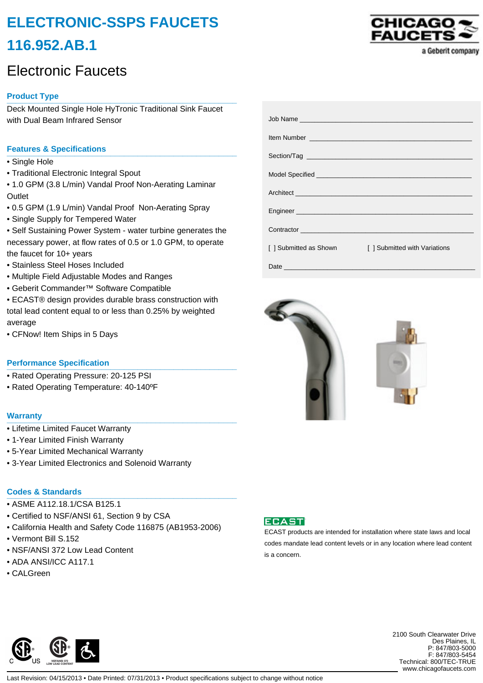# **ELECTRONIC-SSPS FAUCETS 116.952.AB.1**

# Electronic Faucets

# **Product Type \_\_\_\_\_\_\_\_\_\_\_\_\_\_\_\_\_\_\_\_\_\_\_\_\_\_\_\_\_\_\_\_\_\_\_\_\_\_\_\_\_\_\_\_\_\_\_\_\_\_\_**

Deck Mounted Single Hole HyTronic Traditional Sink Faucet with Dual Beam Infrared Sensor

# **Features & Specifications \_\_\_\_\_\_\_\_\_\_\_\_\_\_\_\_\_\_\_\_\_\_\_\_\_\_\_\_\_\_\_\_\_\_\_\_\_\_\_\_\_\_\_\_\_\_\_\_\_\_\_**

- Single Hole
- Traditional Electronic Integral Spout
- 1.0 GPM (3.8 L/min) Vandal Proof Non-Aerating Laminar **Outlet**
- 0.5 GPM (1.9 L/min) Vandal Proof Non-Aerating Spray
- Single Supply for Tempered Water
- Self Sustaining Power System water turbine generates the necessary power, at flow rates of 0.5 or 1.0 GPM, to operate the faucet for 10+ years
- Stainless Steel Hoses Included
- Multiple Field Adjustable Modes and Ranges
- Geberit Commander™ Software Compatible
- ECAST® design provides durable brass construction with total lead content equal to or less than 0.25% by weighted average
- CFNow! Item Ships in 5 Days

### **Performance Specification**

- Rated Operating Pressure: 20-125 PSI
- Rated Operating Temperature: 40-140ºF

#### **Warranty \_\_\_\_\_\_\_\_\_\_\_\_\_\_\_\_\_\_\_\_\_\_\_\_\_\_\_\_\_\_\_\_\_\_\_\_\_\_\_\_\_\_\_\_\_\_\_\_\_\_\_**

- Lifetime Limited Faucet Warranty
- 1-Year Limited Finish Warranty
- 5-Year Limited Mechanical Warranty
- 3-Year Limited Electronics and Solenoid Warranty

## **Codes & Standards \_\_\_\_\_\_\_\_\_\_\_\_\_\_\_\_\_\_\_\_\_\_\_\_\_\_\_\_\_\_\_\_\_\_\_\_\_\_\_\_\_\_\_\_\_\_\_\_\_\_\_**

- ASME A112.18.1/CSA B125.1
- Certified to NSF/ANSI 61, Section 9 by CSA
- California Health and Safety Code 116875 (AB1953-2006)
- Vermont Bill S.152
- NSF/ANSI 372 Low Lead Content
- ADA ANSI/ICC A117.1
- CALGreen

|                                                    | Architect <b>Architect Architect Architect Architect Architect Architect Architect Architect Architect Architect Architect Architect Architect Architect Architect Architect Architect Archite</b> |
|----------------------------------------------------|----------------------------------------------------------------------------------------------------------------------------------------------------------------------------------------------------|
|                                                    |                                                                                                                                                                                                    |
|                                                    | Contractor <b>Contractor Contractor</b>                                                                                                                                                            |
| [ ] Submitted as Shown<br><b>Contract Contract</b> | [] Submitted with Variations                                                                                                                                                                       |
|                                                    |                                                                                                                                                                                                    |





ECAST products are intended for installation where state laws and local codes mandate lead content levels or in any location where lead content is a concern.